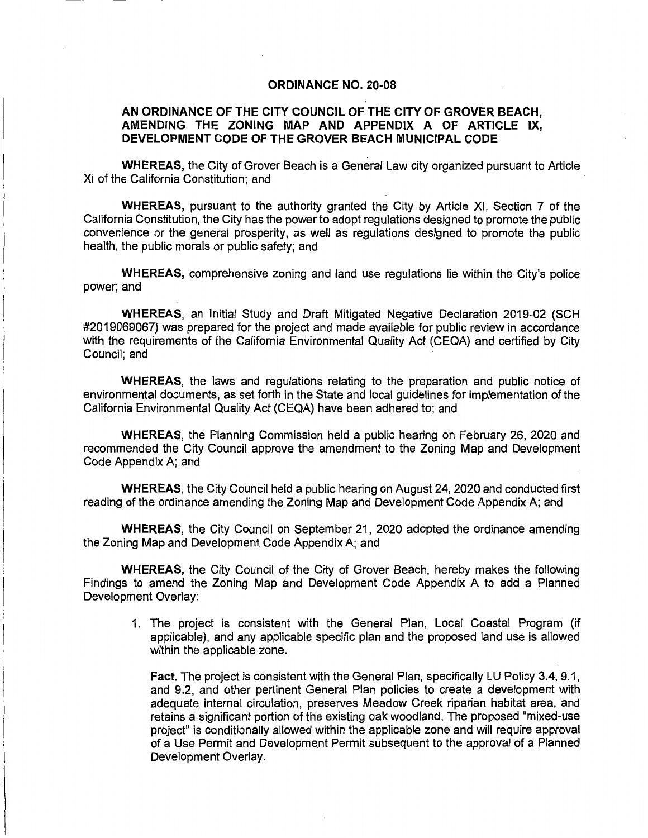## **ORDINANCE NO. 20-08**

## **AN ORDINANCE OF THE CITY COUNCIL OF THE CITY OF GROVER BEACH, AMENDING THE ZONING MAP AND APPENDIX A OF ARTICLE IX, DEVELOPMENT CODE OF THE GROVER BEACH MUNICIPAL CODE**

**WHEREAS,** the City of Grover Beach is a General Law city organized pursuant to Article XI of the California Constitution; and

**WHEREAS,** pursuant to the authority granted the City by Article XI, Section 7 of the California Constitution, the City has the power to adopt regulations designed to promote the public convenience or the general prosperity, as well as regulations designed to promote the public health, the public morals or public safety; and

**WHEREAS,** comprehensive zoning and land use regulations lie within the City's police power; and

**WHEREAS,** an Initial Study and Draft Mitigated Negative Declaration 2019-02 (SCH #2019069067) was prepared for the project and made available for public review in accordance with the requirements of the California Environmental Quality Act (CEQA) and certified by City Council; and

**WHEREAS,** the laws and regulations relating to the preparation and public notice of environmental documents, as set forth in the State and local guidelines for implementation of the California Environmental Quality Act (CEQA) have been adhered to; and

**WHEREAS,** the Planning Commission held a public hearing on February 26, 2020 and recommended the City Council approve the amendment to the Zoning Map and Development Code Appendix A; and

**WHEREAS,** the City Council held a public hearing on August 24, 2020 and conducted first reading of the ordinance amending the Zoning Map and Development Code Appendix A; and

**WHEREAS,** the City Council on September 21, 2020 adopted the ordinance amending the Zoning Map and Development Code Appendix A; and

**WHEREAS,** the City Council of the City of Grover Beach, hereby makes the following Findings to amend the Zoning Map and Development Code Appendix A to add a Planned Development Overlay:

1. The project is consistent with the General Plan, Local Coastal Program (if applicable), and any applicable specific plan and the proposed land use is allowed within the applicable zone.

**Fact.** The project is consistent with the General Plan, specifically LU Policy 3.4, 9.1, and 9.2, and other pertinent General Plan policies to create a development with adequate internal circulation, preserves Meadow Creek riparian habitat area, and retains a significant portion of the existing oak woodland. The proposed "mixed-use project" is conditionally allowed within the applicable zone and will require approval of a Use Permit and Development Permit subsequent to the approval of a Planned Development Overlay.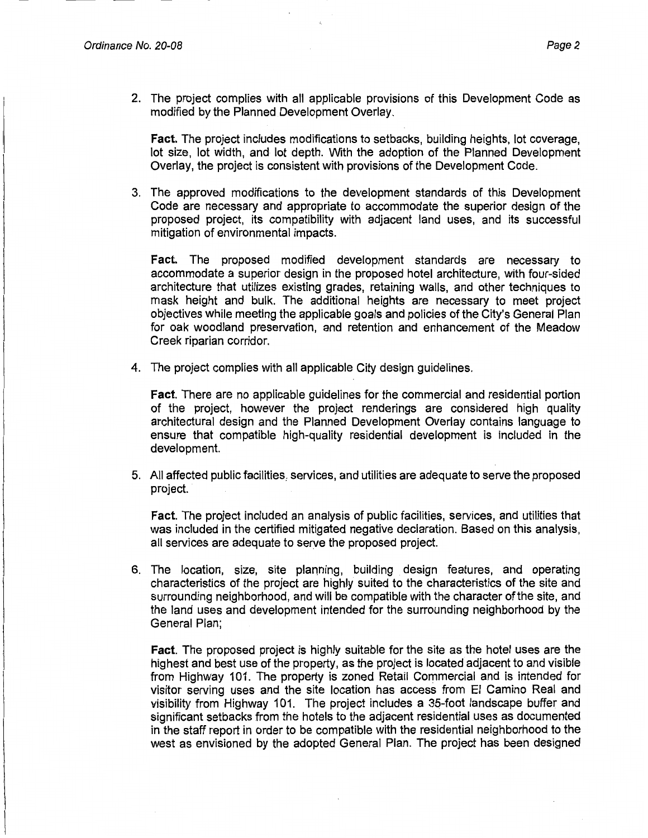2. The project complies with all applicable provisions of this Development Code as modified by the Planned Development Overlay.

**Fact.** The project includes modifications to setbacks, building heights, lot coverage, lot size, lot width, and lot depth. With the adoption of the Planned Development Overlay, the project is consistent with provisions of the Development Code.

3. The approved modifications to the development standards of this Development Code are necessary and appropriate to accommodate the superior design of the proposed project, its compatibility with adjacent land uses, and its successful mitigation of environmental impacts.

**Fact.** The proposed modified development standards are necessary to accommodate a superior design in the proposed hotel architecture, with four-sided architecture that utilizes existing grades, retaining walls, and other techniques to mask height and bulk. The additional heights are necessary to meet project objectives while meeting the applicable goals and policies of the City's General Plan for oak woodland preservation, and retention and enhancement of the Meadow Creek riparian corridor.

4. The project complies with all applicable City design guidelines.

**Fact.** There are no applicable guidelines for the commercial and residential portion of the project, however the project renderings are considered high quality architectural design and the Planned Development Overlay contains language to ensure that compatible high-quality residential development is included in the development.

5. All affected public facilities, services, and utilities are adequate to serve the proposed project.

**Fact.** The project included an analysis of public facilities, services, and utilities that was included in the certified mitigated negative declaration. Based on this analysis, all services are adequate to serve the proposed project.

6. The location, size, site planning, building design features, and operating characteristics of the project are highly suited to the characteristics of the site and surrounding neighborhood, and will be compatible with the character of the site, and the land uses and development intended for the surrounding neighborhood by the General Plan;

**Fact.** The proposed project is highly suitable for the site as the hotel uses are the highest and best use of the property, as the project is located adjacent to and visible from Highway 101. The property is zoned Retail Commercial and is intended for visitor serving uses and the site location has access from El Camino Real and visibility from Highway 101. The project includes a 35-foot landscape buffer and significant setbacks from the hotels to the adjacent residential uses as documented in the staff report in order to be compatible with the residential neighborhood to the west as envisioned by the adopted General Plan. The project has been designed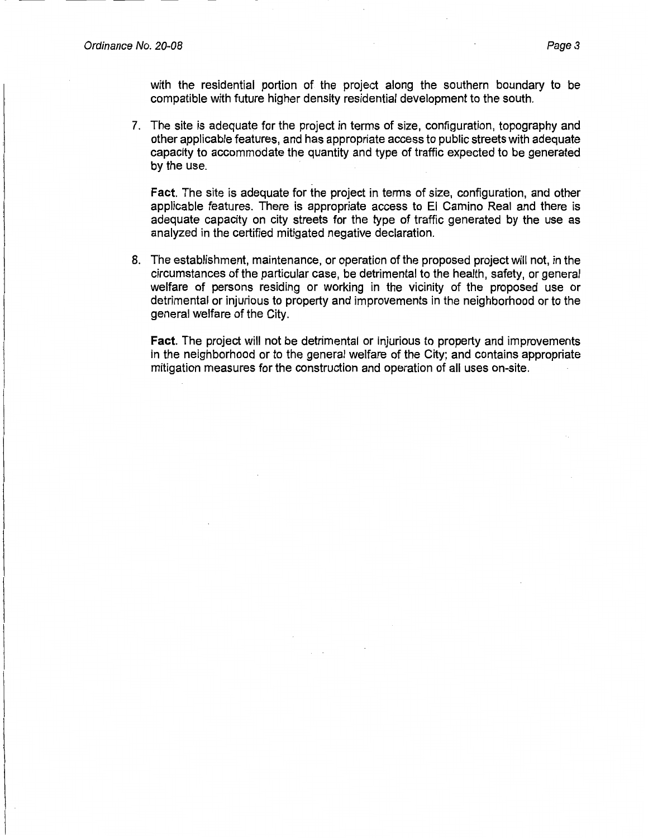with the residential portion of the project along the southern boundary to be compatible with future higher density residential development to the south.

7. The site is adequate for the project in terms of size, configuration, topography and other applicable features, and has appropriate access to public streets with adequate capacity to accommodate the quantity and type of traffic expected to be generated by the use.

**Fact.** The site is adequate for the project in terms of size, configuration, and other applicable features. There is appropriate access to El Camino Real and there is adequate capacity on city streets for the type of traffic generated by the use as analyzed in the certified mitigated negative declaration.

8. The establishment, maintenance, or operation of the proposed project will not, in the circumstances of the particular case, be detrimental to the health, safety, or general welfare of persons residing or working in the vicinity of the proposed use or detrimental or injurious to property and improvements in the neighborhood or to the general welfare of the City.

**Fact.** The project will not be detrimental or injurious to property and improvements in the neighborhood or to the general welfare of the City; and contains appropriate mitigation measures for the construction and operation of all uses on-site.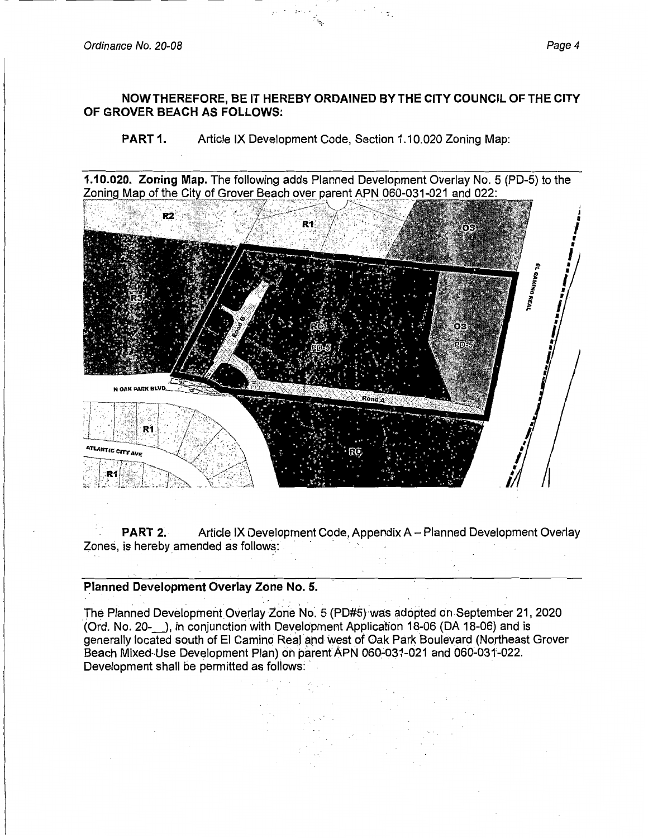Ordinance No. 20-08 Page 4

## **NOW THEREFORE, BE IT HEREBY ORDAINED BY THE CITY COUNCIL OF THE CITY OF GROVER BEACH AS FOLLOWS:**

**PART 1.** Article IX Development Code, Section 1.10.020 Zoning Map:

1.10.020. Zoning Map. The following adds Planned Development Overlay No. 5 (PD-5) to the Zoning Map of the City of Grover Beach over parent APN 060-031-021 and 022:



**PART 2.** Article IX Development Code, Appendix A - Planned Development Overlay Zones, is hereby amended as follows:

## **Planned Development Overlay Zone No. 5.**

The Planned Development Overlay Zone No. 5 (PD#5) was adopted on September 21, 2020 (Ord. No. 20-\_), in conjunction with Dev\_elopment Application 18-06 (DA 18-06) and is generally located south of El Camino Real and west of Oak Park Boulevard (Northeast Grover Beach Mixed-Use Development Plan) on parent APN 060-031-021 and 060-031-022. Development shall be permitted as follows: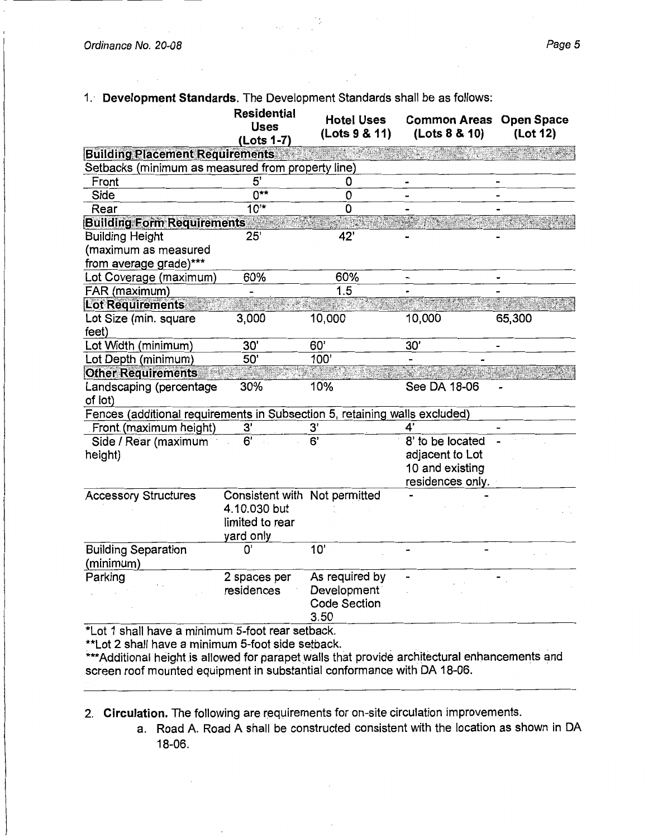$\mathcal{L}$ 

1. · **Development Standards.** The Development Standards shall be as follows:

|                                                                            | (Lots 1-7)                                                                    | (Lots 9 & 11)                                                | <b>Common Areas</b><br>(Lots 8 & 10) | <b>Open Space</b><br>(Lot 12) |
|----------------------------------------------------------------------------|-------------------------------------------------------------------------------|--------------------------------------------------------------|--------------------------------------|-------------------------------|
| <b>Building Placement Requirements</b>                                     |                                                                               |                                                              |                                      |                               |
| Setbacks (minimum as measured from property line)                          |                                                                               |                                                              |                                      |                               |
| Front                                                                      | $\overline{5}$                                                                | 0                                                            |                                      |                               |
| Side                                                                       | $\overline{0^{**}}$                                                           | 0                                                            | -                                    |                               |
| Rear                                                                       | $10^{4}$                                                                      | 0                                                            |                                      |                               |
| <b>Building Form Requirements</b>                                          |                                                                               |                                                              |                                      |                               |
| <b>Building Height</b>                                                     | 25'                                                                           | 42'                                                          |                                      |                               |
| (maximum as measured<br>from average grade)***                             |                                                                               |                                                              |                                      |                               |
| Lot Coverage (maximum)                                                     | 60%                                                                           | 60%                                                          |                                      |                               |
| FAR (maximum)                                                              |                                                                               | 1.5                                                          |                                      |                               |
| <b>Lot Requirements</b>                                                    |                                                                               |                                                              |                                      |                               |
| Lot Size (min. square<br>feet)                                             | 3,000                                                                         | 10,000                                                       | 10,000                               | 65,300                        |
| Lot Width (minimum)                                                        | 30'                                                                           | 60'                                                          | 30'                                  |                               |
| Lot Depth (minimum)                                                        | 50'                                                                           | 100'                                                         |                                      |                               |
| <b>Other Requirements</b>                                                  |                                                                               |                                                              |                                      |                               |
| Landscaping (percentage<br>of lot)                                         | 30%                                                                           | 10%                                                          | See DA 18-06                         |                               |
| Fences (additional requirements in Subsection 5, retaining walls excluded) |                                                                               |                                                              |                                      |                               |
| Front (maximum height)                                                     | 3'                                                                            | 3'                                                           | 4'                                   |                               |
| Side / Rear (maximum                                                       | 6'                                                                            | $\overline{6}$                                               | 8' to be located                     |                               |
| height)                                                                    |                                                                               |                                                              | adjacent to Lot                      |                               |
|                                                                            |                                                                               |                                                              | 10 and existing                      |                               |
|                                                                            |                                                                               |                                                              | residences only.                     |                               |
| <b>Accessory Structures</b>                                                | Consistent with Not permitted<br>4.10.030 but<br>limited to rear<br>yard only |                                                              |                                      |                               |
| <b>Building Separation</b><br>(minimum)                                    | 0'                                                                            | 10'                                                          |                                      |                               |
| Parking                                                                    | 2 spaces per<br>residences                                                    | As required by<br>Development<br><b>Code Section</b><br>3.50 |                                      |                               |

\*\*Lot 2 shall have a minimum 5-foot side setback.

\*\*\* Additional height is allowed for parapet walls that provide architectural enhancements and screen roof mounted equipment in substantial conformance with DA 18-06.

2. **Circulation.** The following are requirements for on-site circulation improvements.

a. Road A. Road A shall be constructed consistent with the location as shown in DA 18-06.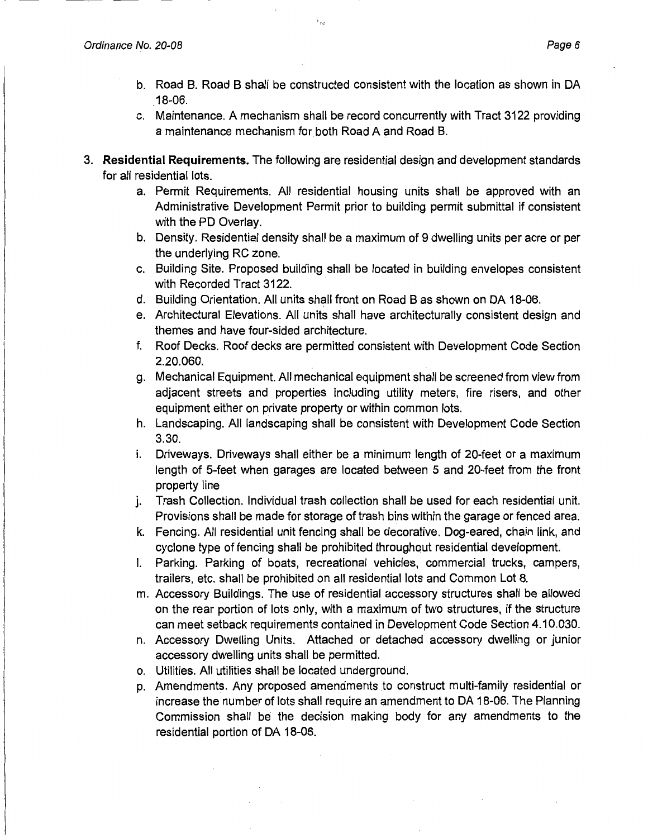- b. Road B. Road B shall be constructed consistent with the location as shown in DA .18-06.
- c. Maintenance. A mechanism shall be record concurrently with Tract 3122 providing a maintenance mechanism for both Road A and Road B.
- 3. **Residential Requirements.** The following are residential design and development standards for all residential lots.
	- a. Permit Requirements. All residential housing units shall be approved with an Administrative Development Permit prior to building permit submittal if consistent with the PD Overlay.
	- b. Density. Residential density shall be a maximum of 9 dwelling units per acre or per the underlying RC zone.
	- c. Building Site. Proposed building shall be located in building envelopes consistent with Recorded Tract 3122.
	- d. Building Orientation. All units shall front on Road B as shown on DA 18-06.
	- e. Architectural Elevations. All units shall have architecturally consistent design and themes and have four-sided architecture.
	- f. Roof Decks. Roof decks are permitted consistent with Development Code Section 2.20.060.
	- g. Mechanical Equipment. All mechanical equipment shall be screened from view from adjacent streets and properties including utility meters, fire risers, and other equipment either on private property or within common lots.
	- h. Landscaping. All landscaping shall be consistent with Development Code Section 3.30.
	- i. Driveways. Driveways shall either be a minimum length of 20-feet or a maximum length of 5-feet when garages are located between 5 and 20-feet from the front property line
	- j. Trash Collection. Individual trash collection shall be used for each residential unit. Provisions shall be made for storage of trash bins within the garage or fenced area.
	- k. Fencing. All residential unit fencing shall be decorative. Dog-eared, chain link, and cyclone type of fencing shall be prohibited throughout residential development.
	- I. Parking. Parking of boats, recreational vehicles, commercial trucks, campers, trailers, etc. shall be prohibited on all residential lots and Common Lot 8.
	- m. Accessory Buildings. The use of residential accessory structures shall be allowed on the rear portion of lots only, with a maximum of two structures, if the structure can meet setback requirements contained in Development Code Section 4.10.030.
	- n. Accessory Dwelling Units. Attached or detached accessory dwelling or junior accessory dwelling units shall be permitted.
	- o. Utilities. All utilities shall be located underground.
	- p. Amendments. Any proposed amendments to construct multi-family residential or increase the number of lots shall require an amendment to DA 18-06. The Planning Commission shall be the decision making body for any amendments to the residential portion of DA 18-06.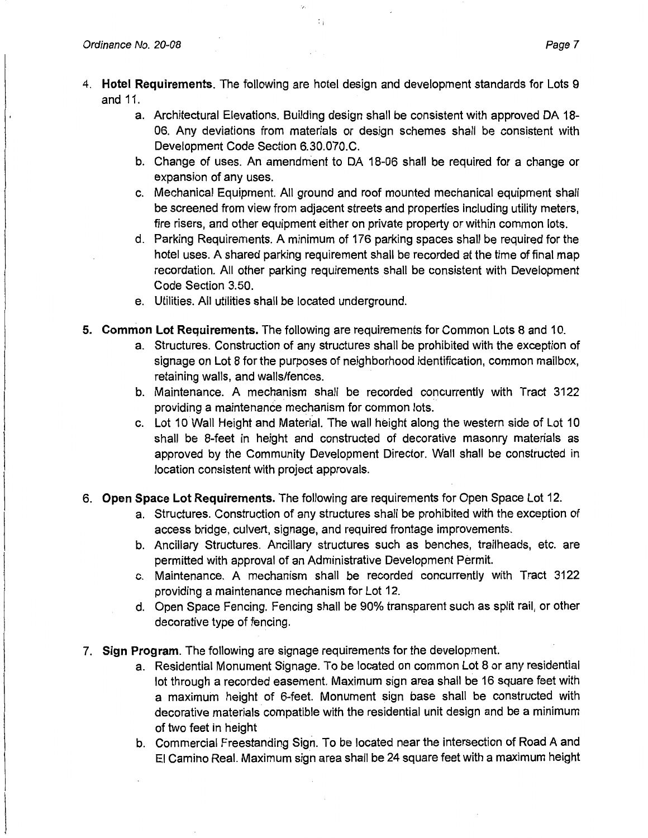4. **Hotel Requirements.** The following are hotel design and development standards for Lots 9 and 11.

÷.

- a. Architectural Elevations. Building design shall be consistent with approved DA 18- 06. Any deviations from materials or design schemes shall be consistent with Development Code Section 6.30.070.C.
- b. Change of uses. An amendment to DA 18-06 shall be required for a change or expansion of any uses.
- c. Mechanical Equipment. All ground and roof mounted mechanical equipment shall be screened from view from adjacent streets and properties including utility meters, fire risers, and other equipment either on private property or within common lots.
- d. Parking Requirements. A minimum of 176 parking spaces shall be required for the hotel uses. A shared parking requirement shall be recorded at the time of final map recordation. All other parking requirements shall be consistent with Development Code Section 3.50.
- e. Utilities. All utilities shall be located underground.
- **5. Common Lot Requirements.** The following are requirements for Common Lots 8 and 10.
	- a. Structures. Construction of any structures shall be prohibited with the exception of signage on Lot 8 for the purposes of neighborhood identification, common mailbox, retaining walls, and walls/fences.
	- b. Maintenance. A mechanism shall be recorded concurrently with Tract 3122 providing a maintenance mechanism for common lots.
	- c. Lot 10 Wall Height and Material. The wall height along the western side of Lot 10 shall be 8-feet in height and constructed of decorative masonry materials as approved by the Community Development Director. Wall shall be constructed in location consistent with project approvals.
- 6. **Open Space Lot Requirements.** The following are requirements for Open Space Lot 12.
	- a. Structures. Construction of any structures shall be prohibited with the exception of access bridge, culvert, signage, and required frontage improvements.
	- b. Ancillary Structures. Ancillary structures such as benches, trailheads, etc. are permitted with approval of an Administrative Development Permit.
	- c. Maintenance. A mechanism shall be recorded concurrently with Tract 3122 providing a maintenance mechanism for Lot 12.
	- d. Open Space Fencing. Fencing shall be 90% transparent such as split rail, or other decorative type of fencing.
- 7. **Sign Program.** The following are signage requirements for the development.
	- a. Residential Monument Signage. To be located on common Lot 8 or any residential lot through a recorded easement. Maximum sign area shall be 16 square feet with a maximum height of 6-feet. Monument sign base shall be constructed with decorative materials compatible with the residential unit design and be a minimum of two feet in height
	- b. Commercial Freestanding Sign. To be located near the intersection of Road A and El Camino Real. Maximum sign area shall be 24 square feet with a maximum height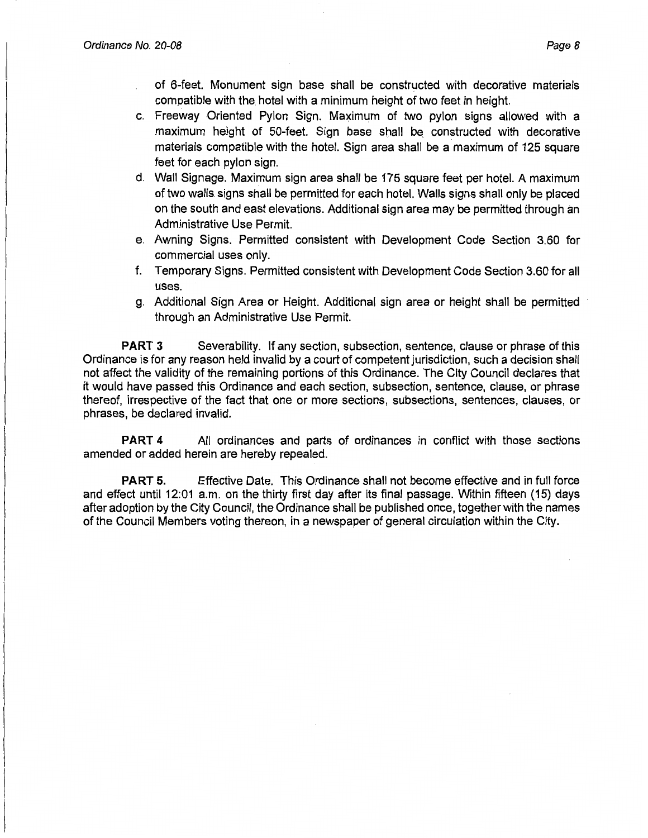of 6-feet. Monument sign base shall be constructed with decorative materials compatible with the hotel with a minimum height of two feet in height.

- c. Freeway Oriented Pylon Sign. Maximum of two pylon signs allowed with a maximum height of 50-feet. Sign base shall be constructed with decorative materials compatible with the hotel. Sign area shall be a maximum of 125 square feet for each pylon sign.
- d. Wall Signage. Maximum sign area shall be 175 square feet per hotel. A maximum of two walls signs shall be permitted for each hotel. Walls signs shall only be placed on the south and east elevations. Additional sign area may be permitted through an Administrative Use Permit.
- e. Awning Signs. Permitted consistent with Development Code Section 3.60 for commercial uses only.
- f. Temporary Signs. Permitted consistent with Development Code Section 3.60 for all uses.
- g. Additional Sign Area or Height. Additional sign area or height shall be permitted through an Administrative Use Permit.

**PART 3** Severability. If any section, subsection, sentence, clause or phrase of this Ordinance is for any reason held invalid by a court of competent jurisdiction, such a decision shall not affect the validity of the remaining portions of this Ordinance. The City Council declares that it would have passed this Ordinance and each section, subsection, sentence, clause, or phrase thereof, irrespective of the fact that one or more sections, subsections, sentences, clauses, or phrases, be declared invalid.

**PART 4** All ordinances and parts of ordinances in conflict with those sections amended or added herein are hereby repealed.

**PART 5.** Effective Date. This Ordinance shall not become effective and in full force and effect until 12:01 a.m. on the thirty first day after its final passage. Within fifteen (15) days after adoption by the City Council, the Ordinance shall be published once, together with the names of the Council Members voting thereon, in a newspaper of general circulation within the City.